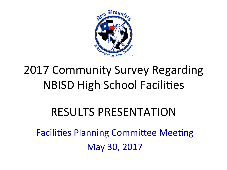

# 2017 Community Survey Regarding **NBISD High School Facilities**

### RESULTS PRESENTATION

Facilities Planning Committee Meeting May 30, 2017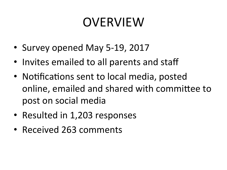# OVERVIEW

- Survey opened May 5-19, 2017
- Invites emailed to all parents and staff
- Notifications sent to local media, posted online, emailed and shared with committee to post on social media
- Resulted in 1,203 responses
- Received 263 comments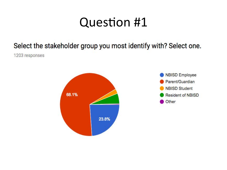#### Select the stakeholder group you most identify with? Select one.

1203 responses



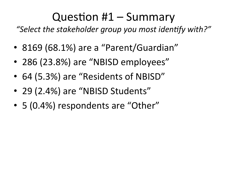### Question  $#1$  – Summary

"Select the stakeholder group you most identify with?"

- 8169 (68.1%) are a "Parent/Guardian"
- 286 (23.8%) are "NBISD employees"
- 64 (5.3%) are "Residents of NBISD"
- 29 (2.4%) are "NBISD Students"
- 5 (0.4%) respondents are "Other"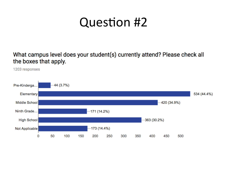What campus level does your student(s) currently attend? Please check all the boxes that apply.

1203 responses

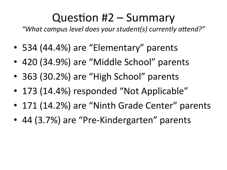#### Question  $#2$  – Summary

"What campus level does your student(s) currently attend?"

- 534 (44.4%) are "Elementary" parents
- 420 (34.9%) are "Middle School" parents
- 363 (30.2%) are "High School" parents
- 173 (14.4%) responded "Not Applicable"
- 171 (14.2%) are "Ninth Grade Center" parents
- 44 (3.7%) are "Pre-Kindergarten" parents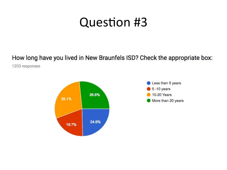#### How long have you lived in New Braunfels ISD? Check the appropriate box:

1203 responses



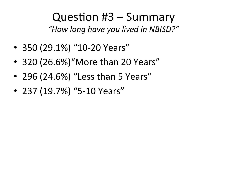Question  $#3$  – Summary *"How long have you lived in NBISD?"* 

- 350 (29.1%) "10-20 Years"
- 320  $(26.6%)$ "More than 20 Years"
- 296 (24.6%) "Less than 5 Years"
- 237 (19.7%) "5-10 Years"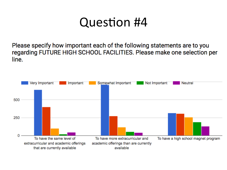Please specify how important each of the following statements are to you regarding FUTURE HIGH SCHOOL FACILITIES. Please make one selection per line.

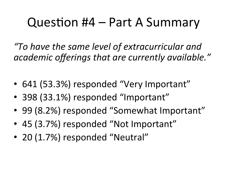# Question  $#4$  – Part A Summary

*"To have the same level of extracurricular and*  academic offerings that are currently available."

- 641 (53.3%) responded "Very Important"
- 398 (33.1%) responded "Important"
- 99 (8.2%) responded "Somewhat Important"
- 45 (3.7%) responded "Not Important"
- 20 (1.7%) responded "Neutral"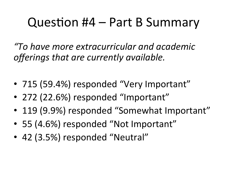# Question  $#4$  – Part B Summary

*"To have more extracurricular and academic offerings that are currently available.* 

- 715 (59.4%) responded "Very Important"
- 272 (22.6%) responded "Important"
- 119 (9.9%) responded "Somewhat Important"
- 55 (4.6%) responded "Not Important"
- 42 (3.5%) responded "Neutral"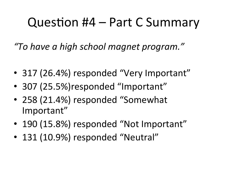# Question #4 – Part C Summary

*"To have a high school magnet program."* 

- 317 (26.4%) responded "Very Important"
- 307 (25.5%) responded "Important"
- 258 (21.4%) responded "Somewhat Important"
- 190 (15.8%) responded "Not Important"
- 131 (10.9%) responded "Neutral"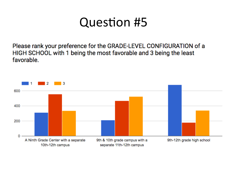Please rank your preference for the GRADE-LEVEL CONFIGURATION of a HIGH SCHOOL with 1 being the most favorable and 3 being the least favorable.

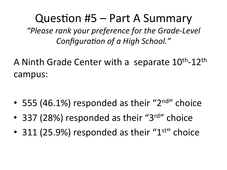#### Question  $#5$  – Part A Summary

*"Please rank your preference for the Grade-Level*  **Configuration of a High School."** 

A Ninth Grade Center with a separate 10<sup>th</sup>-12<sup>th</sup> campus: 

- 555 (46.1%) responded as their " $2<sup>nd</sup>$ " choice
- 337 (28%) responded as their "3 $rd$ " choice
- 311 (25.9%) responded as their " $1<sup>st</sup>$ " choice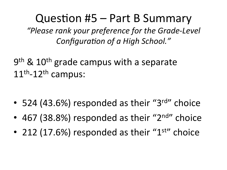#### Question  $#5$  – Part B Summary

*"Please rank your preference for the Grade-Level*  **Configuration of a High School."** 

 $9<sup>th</sup>$  & 10<sup>th</sup> grade campus with a separate  $11<sup>th</sup> - 12<sup>th</sup>$  campus:

- 524 (43.6%) responded as their "3rd" choice
- 467 (38.8%) responded as their " $2<sup>nd</sup>$ " choice
- 212 (17.6%) responded as their " $1<sup>st</sup>$ " choice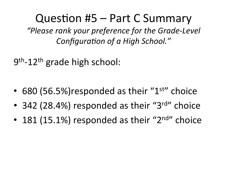Question #5 – Part C Summary

*"Please rank your preference for the Grade-Level*  **Configuration of a High School."** 

 $9<sup>th</sup>$ -12<sup>th</sup> grade high school:

- 680 (56.5%) responded as their " $1<sup>st</sup>$ " choice
- 342 (28.4%) responded as their "3rd" choice
- 181 (15.1%) responded as their " $2<sup>nd</sup>$ " choice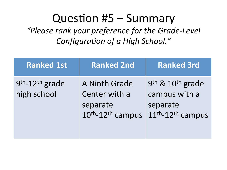#### Question  $#5 -$  Summary

*"Please rank your preference for the Grade-Level*  **Configuration of a High School."** 

| <b>Ranked 1st</b>                 | <b>Ranked 2nd</b>                                                                       | <b>Ranked 3rd</b>                                                                   |
|-----------------------------------|-----------------------------------------------------------------------------------------|-------------------------------------------------------------------------------------|
| $9th - 12th$ grade<br>high school | A Ninth Grade<br>Center with a<br>separate<br>10 <sup>th</sup> -12 <sup>th</sup> campus | $9th$ & 10 <sup>th</sup> grade<br>campus with a<br>separate<br>$11th - 12th$ campus |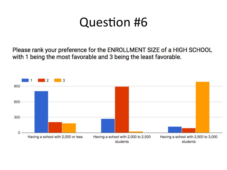Please rank your preference for the ENROLLMENT SIZE of a HIGH SCHOOL with 1 being the most favorable and 3 being the least favorable.

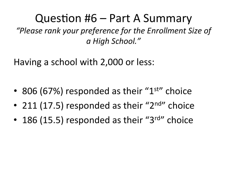Question  $#6$  – Part A Summary *"Please rank your preference for the Enrollment Size of a High School."* 

Having a school with 2,000 or less:

- 806 (67%) responded as their " $1<sup>st</sup>$ " choice
- 211 (17.5) responded as their " $2<sup>nd</sup>$ " choice
- 186 (15.5) responded as their " $3^{\text{rd}}$ " choice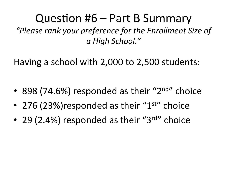Question  $#6$  – Part B Summary *"Please rank your preference for the Enrollment Size of a High School."* 

Having a school with 2,000 to 2,500 students:

- 898 (74.6%) responded as their " $2<sup>nd</sup>$ " choice
- 276 (23%) responded as their " $1<sup>st</sup>$ " choice
- 29 (2.4%) responded as their " $3^{\text{rd}}$ " choice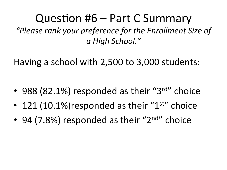Question  $#6$  – Part C Summary *"Please rank your preference for the Enrollment Size of a High School."* 

Having a school with 2,500 to 3,000 students:

- 988 (82.1%) responded as their " $3^{\text{rd}}$ " choice
- 121 (10.1%) responded as their " $1<sup>st</sup>$ " choice
- 94 (7.8%) responded as their " $2<sup>nd</sup>$ " choice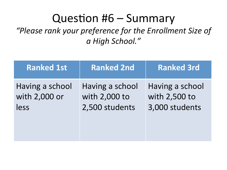#### Question  $#6$  – Summary

*"Please rank your preference for the Enrollment Size of a High School."* 

| <b>Ranked 1st</b> | <b>Ranked 2nd</b> | <b>Ranked 3rd</b> |
|-------------------|-------------------|-------------------|
| Having a school   | Having a school   | Having a school   |
| with 2,000 or     | with 2,000 to     | with 2,500 to     |
| less              | 2,500 students    | 3,000 students    |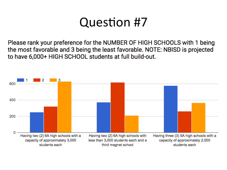Please rank your preference for the NUMBER OF HIGH SCHOOLS with 1 being the most favorable and 3 being the least favorable. NOTE: NBISD is projected to have 6,000+ HIGH SCHOOL students at full build-out.

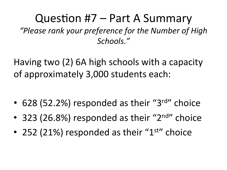#### Question  $#7$  – Part A Summary *"Please rank your preference for the Number of High Schools."*

Having two  $(2)$  6A high schools with a capacity of approximately 3,000 students each:

- 628 (52.2%) responded as their "3rd" choice
- 323 (26.8%) responded as their " $2<sup>nd</sup>$ " choice
- 252 (21%) responded as their " $1<sup>st</sup>$ " choice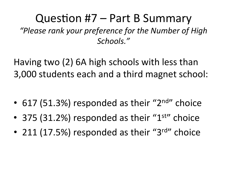#### Question  $#7$  – Part B Summary *"Please rank your preference for the Number of High Schools."*

Having two (2) 6A high schools with less than 3,000 students each and a third magnet school:

- 617 (51.3%) responded as their " $2<sup>nd</sup>$ " choice
- 375 (31.2%) responded as their " $1<sup>st</sup>$ " choice
- 211 (17.5%) responded as their "3 $rd$ " choice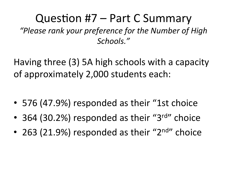#### Question  $#7$  – Part C Summary *"Please rank your preference for the Number of High Schools."*

Having three (3) 5A high schools with a capacity of approximately 2,000 students each:

- 576 (47.9%) responded as their "1st choice
- 364 (30.2%) responded as their "3 $rd$ " choice
- 263 (21.9%) responded as their " $2<sup>nd</sup>$ " choice